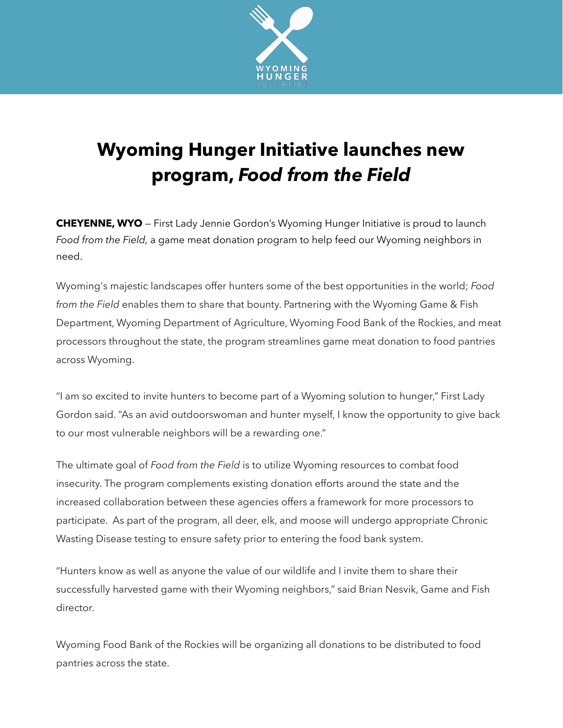

## **Wyoming Hunger Initiative launches new program,** *Food from the Field*

**CHEYENNE, WYO** — First Lady Jennie Gordon's Wyoming Hunger Initiative is proud to launch *Food from the Field,* a game meat donation program to help feed our Wyoming neighbors in need.

Wyoming's majestic landscapes offer hunters some of the best opportunities in the world; *Food from the Field* enables them to share that bounty. Partnering with the Wyoming Game & Fish Department, Wyoming Department of Agriculture, Wyoming Food Bank of the Rockies, and meat processors throughout the state, the program streamlines game meat donation to food pantries across Wyoming.

"I am so excited to invite hunters to become part of a Wyoming solution to hunger," First Lady Gordon said. "As an avid outdoorswoman and hunter myself, I know the opportunity to give back to our most vulnerable neighbors will be a rewarding one."

The ultimate goal of *Food from the Field* is to utilize Wyoming resources to combat food insecurity. The program complements existing donation efforts around the state and the increased collaboration between these agencies offers a framework for more processors to participate. As part of the program, all deer, elk, and moose will undergo appropriate Chronic Wasting Disease testing to ensure safety prior to entering the food bank system.

"Hunters know as well as anyone the value of our wildlife and I invite them to share their successfully harvested game with their Wyoming neighbors," said Brian Nesvik, Game and Fish director.

Wyoming Food Bank of the Rockies will be organizing all donations to be distributed to food pantries across the state.